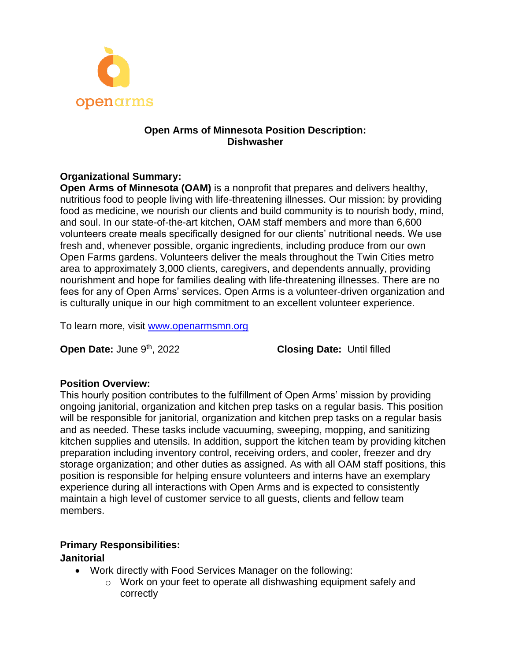

## **Open Arms of Minnesota Position Description: Dishwasher**

## **Organizational Summary:**

**Open Arms of Minnesota (OAM)** is a nonprofit that prepares and delivers healthy, nutritious food to people living with life-threatening illnesses. Our mission: by providing food as medicine, we nourish our clients and build community is to nourish body, mind, and soul. In our state-of-the-art kitchen, OAM staff members and more than 6,600 volunteers create meals specifically designed for our clients' nutritional needs. We use fresh and, whenever possible, organic ingredients, including produce from our own Open Farms gardens. Volunteers deliver the meals throughout the Twin Cities metro area to approximately 3,000 clients, caregivers, and dependents annually, providing nourishment and hope for families dealing with life-threatening illnesses. There are no fees for any of Open Arms' services. Open Arms is a volunteer-driven organization and is culturally unique in our high commitment to an excellent volunteer experience.

To learn more, visit [www.openarmsmn.org](http://www.openarmsmn.org/) 

**Open Date:** June 9<sup>th</sup>, 2022 **Closing Date:** Until filled

#### **Position Overview:**

This hourly position contributes to the fulfillment of Open Arms' mission by providing ongoing janitorial, organization and kitchen prep tasks on a regular basis. This position will be responsible for janitorial, organization and kitchen prep tasks on a regular basis and as needed. These tasks include vacuuming, sweeping, mopping, and sanitizing kitchen supplies and utensils. In addition, support the kitchen team by providing kitchen preparation including inventory control, receiving orders, and cooler, freezer and dry storage organization; and other duties as assigned. As with all OAM staff positions, this position is responsible for helping ensure volunteers and interns have an exemplary experience during all interactions with Open Arms and is expected to consistently maintain a high level of customer service to all guests, clients and fellow team members.

# **Primary Responsibilities:**

#### **Janitorial**

- Work directly with Food Services Manager on the following:
	- o Work on your feet to operate all dishwashing equipment safely and correctly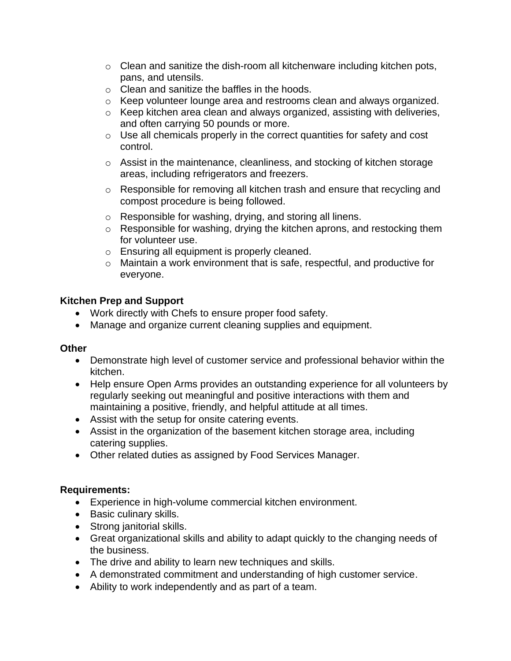- $\circ$  Clean and sanitize the dish-room all kitchenware including kitchen pots, pans, and utensils.
- o Clean and sanitize the baffles in the hoods.
- $\circ$  Keep volunteer lounge area and restrooms clean and always organized.
- o Keep kitchen area clean and always organized, assisting with deliveries, and often carrying 50 pounds or more.
- o Use all chemicals properly in the correct quantities for safety and cost control.
- o Assist in the maintenance, cleanliness, and stocking of kitchen storage areas, including refrigerators and freezers.
- o Responsible for removing all kitchen trash and ensure that recycling and compost procedure is being followed.
- o Responsible for washing, drying, and storing all linens.
- o Responsible for washing, drying the kitchen aprons, and restocking them for volunteer use.
- o Ensuring all equipment is properly cleaned.
- o Maintain a work environment that is safe, respectful, and productive for everyone.

## **Kitchen Prep and Support**

- Work directly with Chefs to ensure proper food safety.
- Manage and organize current cleaning supplies and equipment.

#### **Other**

- Demonstrate high level of customer service and professional behavior within the kitchen.
- Help ensure Open Arms provides an outstanding experience for all volunteers by regularly seeking out meaningful and positive interactions with them and maintaining a positive, friendly, and helpful attitude at all times.
- Assist with the setup for onsite catering events.
- Assist in the organization of the basement kitchen storage area, including catering supplies.
- Other related duties as assigned by Food Services Manager.

#### **Requirements:**

- Experience in high-volume commercial kitchen environment.
- Basic culinary skills.
- Strong janitorial skills.
- Great organizational skills and ability to adapt quickly to the changing needs of the business.
- The drive and ability to learn new techniques and skills.
- A demonstrated commitment and understanding of high customer service.
- Ability to work independently and as part of a team.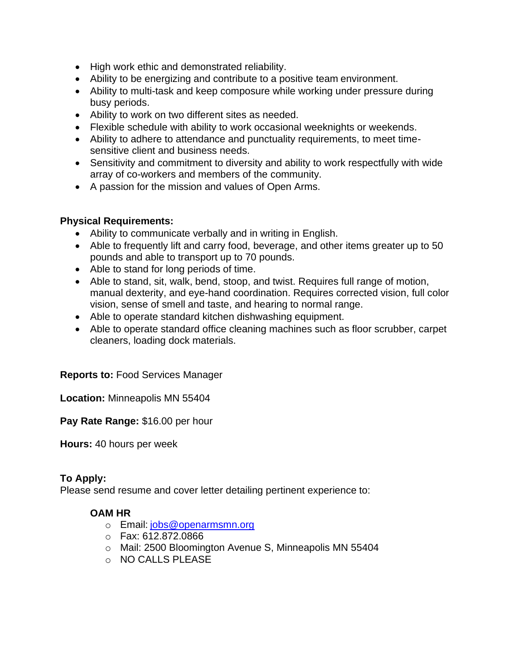- High work ethic and demonstrated reliability.
- Ability to be energizing and contribute to a positive team environment.
- Ability to multi-task and keep composure while working under pressure during busy periods.
- Ability to work on two different sites as needed.
- Flexible schedule with ability to work occasional weeknights or weekends.
- Ability to adhere to attendance and punctuality requirements, to meet timesensitive client and business needs.
- Sensitivity and commitment to diversity and ability to work respectfully with wide array of co-workers and members of the community.
- A passion for the mission and values of Open Arms.

#### **Physical Requirements:**

- Ability to communicate verbally and in writing in English.
- Able to frequently lift and carry food, beverage, and other items greater up to 50 pounds and able to transport up to 70 pounds.
- Able to stand for long periods of time.
- Able to stand, sit, walk, bend, stoop, and twist. Requires full range of motion, manual dexterity, and eye-hand coordination. Requires corrected vision, full color vision, sense of smell and taste, and hearing to normal range.
- Able to operate standard kitchen dishwashing equipment.
- Able to operate standard office cleaning machines such as floor scrubber, carpet cleaners, loading dock materials.

# **Reports to:** Food Services Manager

**Location:** Minneapolis MN 55404

**Pay Rate Range:** \$16.00 per hour

**Hours:** 40 hours per week

#### **To Apply:**

Please send resume and cover letter detailing pertinent experience to:

#### **OAM HR**

- o Email: [jobs@openarmsmn.org](mailto:jobs@openarmsmn.org)
- o Fax: 612.872.0866
- o Mail: 2500 Bloomington Avenue S, Minneapolis MN 55404
- o NO CALLS PLEASE